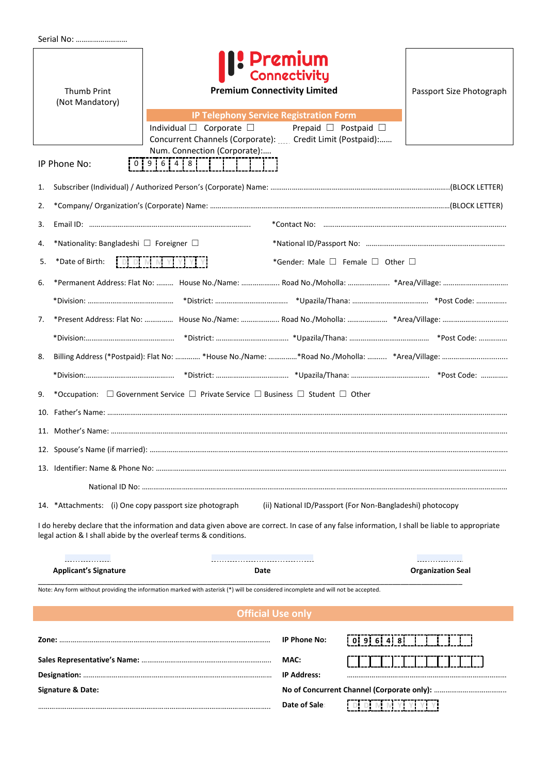| <b>Thumb Print</b><br>(Not Mandatory)                                                                                                                                                                                                                                                                                                  | <b>1: Premium</b><br><b>Connectivity</b><br><b>Premium Connectivity Limited</b>                                                                                                        |               | Passport Size Photograph             |                          |  |  |  |
|----------------------------------------------------------------------------------------------------------------------------------------------------------------------------------------------------------------------------------------------------------------------------------------------------------------------------------------|----------------------------------------------------------------------------------------------------------------------------------------------------------------------------------------|---------------|--------------------------------------|--------------------------|--|--|--|
|                                                                                                                                                                                                                                                                                                                                        | <b>IP Telephony Service Registration Form</b><br>Individual $\square$ Corporate $\square$<br>Concurrent Channels (Corporate): Credit Limit (Postpaid):<br>Num. Connection (Corporate): |               | Prepaid $\square$ Postpaid $\square$ |                          |  |  |  |
| IP Phone No:                                                                                                                                                                                                                                                                                                                           |                                                                                                                                                                                        |               |                                      |                          |  |  |  |
| 1.                                                                                                                                                                                                                                                                                                                                     |                                                                                                                                                                                        |               |                                      |                          |  |  |  |
| 2.                                                                                                                                                                                                                                                                                                                                     |                                                                                                                                                                                        |               |                                      |                          |  |  |  |
| 3.                                                                                                                                                                                                                                                                                                                                     |                                                                                                                                                                                        |               |                                      |                          |  |  |  |
| *Nationality: Bangladeshi $\Box$ Foreigner $\Box$<br>4.                                                                                                                                                                                                                                                                                |                                                                                                                                                                                        |               |                                      |                          |  |  |  |
| $\begin{bmatrix} 0 & 0 & 0 \end{bmatrix} \begin{bmatrix} 0 & 0 & 0 \end{bmatrix} \begin{bmatrix} 0 & 0 & 0 \end{bmatrix} \begin{bmatrix} 0 & 0 & 0 \end{bmatrix} \begin{bmatrix} 0 & 0 & 0 \end{bmatrix} \begin{bmatrix} 0 & 0 & 0 \end{bmatrix}$<br>*Date of Birth:<br>*Gender: Male $\square$ Female $\square$ Other $\square$<br>5. |                                                                                                                                                                                        |               |                                      |                          |  |  |  |
| 6.                                                                                                                                                                                                                                                                                                                                     |                                                                                                                                                                                        |               |                                      |                          |  |  |  |
|                                                                                                                                                                                                                                                                                                                                        |                                                                                                                                                                                        |               |                                      |                          |  |  |  |
| 7.                                                                                                                                                                                                                                                                                                                                     |                                                                                                                                                                                        |               |                                      |                          |  |  |  |
|                                                                                                                                                                                                                                                                                                                                        |                                                                                                                                                                                        |               |                                      |                          |  |  |  |
| 8.                                                                                                                                                                                                                                                                                                                                     |                                                                                                                                                                                        |               |                                      |                          |  |  |  |
|                                                                                                                                                                                                                                                                                                                                        |                                                                                                                                                                                        |               |                                      |                          |  |  |  |
| 9.                                                                                                                                                                                                                                                                                                                                     | *Occupation: $\Box$ Government Service $\Box$ Private Service $\Box$ Business $\Box$ Student $\Box$ Other                                                                              |               |                                      |                          |  |  |  |
|                                                                                                                                                                                                                                                                                                                                        |                                                                                                                                                                                        |               |                                      |                          |  |  |  |
|                                                                                                                                                                                                                                                                                                                                        |                                                                                                                                                                                        |               |                                      |                          |  |  |  |
|                                                                                                                                                                                                                                                                                                                                        |                                                                                                                                                                                        |               |                                      |                          |  |  |  |
|                                                                                                                                                                                                                                                                                                                                        |                                                                                                                                                                                        |               |                                      |                          |  |  |  |
|                                                                                                                                                                                                                                                                                                                                        |                                                                                                                                                                                        |               |                                      |                          |  |  |  |
| *Attachments: (i) One copy passport size photograph<br>(ii) National ID/Passport (For Non-Bangladeshi) photocopy<br>14.                                                                                                                                                                                                                |                                                                                                                                                                                        |               |                                      |                          |  |  |  |
| I do hereby declare that the information and data given above are correct. In case of any false information, I shall be liable to appropriate<br>legal action & I shall abide by the overleaf terms & conditions.                                                                                                                      |                                                                                                                                                                                        |               |                                      |                          |  |  |  |
| .                                                                                                                                                                                                                                                                                                                                      |                                                                                                                                                                                        |               |                                      | .                        |  |  |  |
| <b>Applicant's Signature</b>                                                                                                                                                                                                                                                                                                           | Date                                                                                                                                                                                   |               |                                      | <b>Organization Seal</b> |  |  |  |
| Note: Any form without providing the information marked with asterisk (*) will be considered incomplete and will not be accepted.                                                                                                                                                                                                      |                                                                                                                                                                                        |               |                                      |                          |  |  |  |
| <b>Official Use only</b>                                                                                                                                                                                                                                                                                                               |                                                                                                                                                                                        |               |                                      |                          |  |  |  |
|                                                                                                                                                                                                                                                                                                                                        |                                                                                                                                                                                        | IP Phone No:  | 0 9 6 4 8                            |                          |  |  |  |
|                                                                                                                                                                                                                                                                                                                                        |                                                                                                                                                                                        | MAC:          |                                      |                          |  |  |  |
|                                                                                                                                                                                                                                                                                                                                        | <b>IP Address:</b>                                                                                                                                                                     |               |                                      |                          |  |  |  |
| <b>Signature &amp; Date:</b>                                                                                                                                                                                                                                                                                                           |                                                                                                                                                                                        |               |                                      |                          |  |  |  |
|                                                                                                                                                                                                                                                                                                                                        |                                                                                                                                                                                        | Date of Sale: | DIMMYIYIYIYI                         |                          |  |  |  |